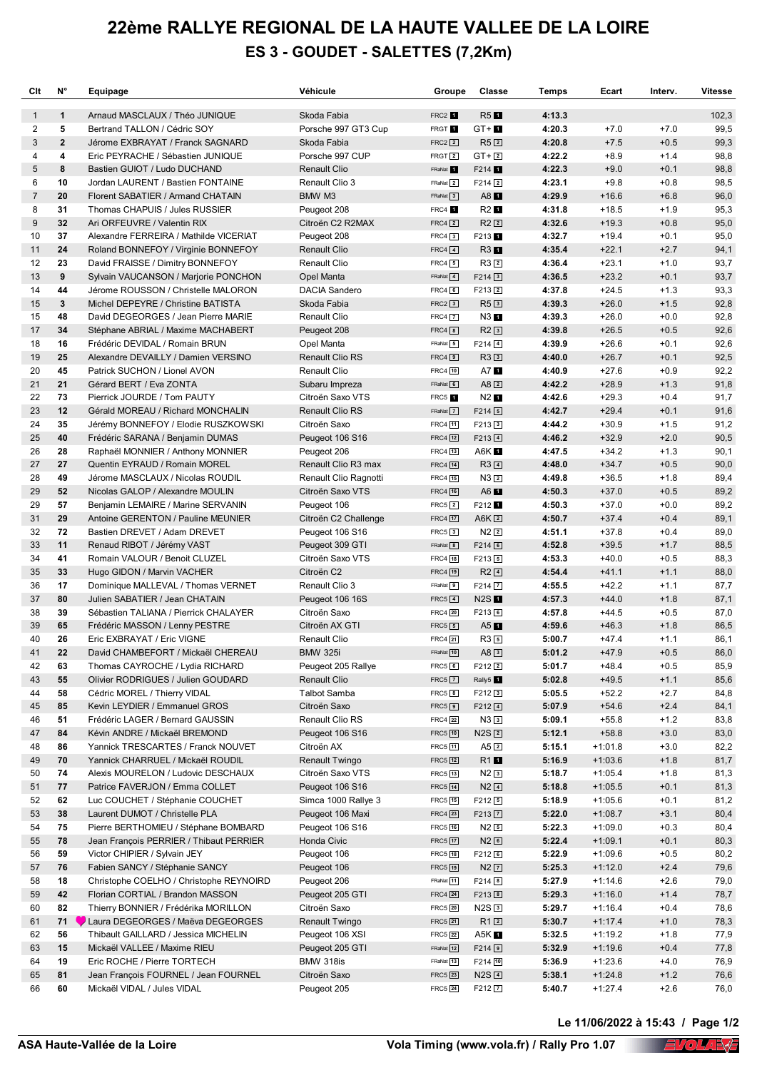## **22ème RALLYE REGIONAL DE LA HAUTE VALLEE DE LA LOIRE ES 3 - GOUDET - SALETTES (7,2Km)**

| Clt            | N°             | Equipage                                                         | Véhicule                                   | Groupe                        | Classe                                | Temps            | Ecart                  | Interv.          | <b>Vitesse</b> |
|----------------|----------------|------------------------------------------------------------------|--------------------------------------------|-------------------------------|---------------------------------------|------------------|------------------------|------------------|----------------|
| $\mathbf{1}$   | $\mathbf{1}$   | Arnaud MASCLAUX / Théo JUNIQUE                                   | Skoda Fabia                                | FRC2 <sup>1</sup>             | $R5$ $\blacksquare$                   | 4:13.3           |                        |                  | 102,3          |
| 2              | 5              | Bertrand TALLON / Cédric SOY                                     | Porsche 997 GT3 Cup                        | <b>FRGT</b>                   | $GT + H$                              | 4:20.3           | $+7.0$                 | $+7.0$           | 99,5           |
| 3              | $\overline{2}$ | Jérome EXBRAYAT / Franck SAGNARD                                 | Skoda Fabia                                | $FRC2$ $2$                    | R52                                   | 4:20.8           | $+7.5$                 | $+0.5$           | 99,3           |
| 4              | 4              | Eric PEYRACHE / Sébastien JUNIQUE                                | Porsche 997 CUP                            | $FRGT$ $2$                    | $GT + 2$                              | 4:22.2           | $+8.9$                 | $+1.4$           | 98,8           |
| 5              | 8              | Bastien GUIOT / Ludo DUCHAND                                     | <b>Renault Clio</b>                        | FRaNat                        | F214 1                                | 4:22.3           | $+9.0$                 | $+0.1$           | 98,8           |
| 6              | 10             | Jordan LAURENT / Bastien FONTAINE                                | Renault Clio 3                             | FRaNat 2                      | $F214$ <sup>2</sup>                   | 4:23.1           | $+9.8$                 | $+0.8$           | 98,5           |
| $\overline{7}$ | 20             | Florent SABATIER / Armand CHATAIN                                | BMW M3                                     | FRaNat 3                      | A8                                    | 4:29.9           | $+16.6$                | $+6.8$           | 96,0           |
| 8              | 31             | Thomas CHAPUIS / Jules RUSSIER                                   | Peugeot 208                                | FRC4 1                        | R2                                    | 4:31.8           | $+18.5$                | $+1.9$           | 95,3           |
| 9              | 32             | Ari ORFEUVRE / Valentin RIX                                      | Citroën C2 R2MAX                           | $FRC4$ $\boxed{2}$            | $R2$ <sup>2</sup>                     | 4:32.6           | $+19.3$                | $+0.8$           | 95,0           |
| 10             | 37             | Alexandre FERREIRA / Mathilde VICERIAT                           | Peugeot 208                                | $FRC4$ 3                      | F213 <sub>1</sub>                     | 4:32.7           | $+19.4$                | $+0.1$           | 95,0           |
| 11             | 24             | Roland BONNEFOY / Virginie BONNEFOY                              | <b>Renault Clio</b>                        | $FRC4$ $4$                    | R3                                    | 4:35.4           | $+22.1$                | $+2.7$           | 94,1           |
| 12             | 23             | David FRAISSE / Dimitry BONNEFOY                                 | <b>Renault Clio</b>                        | $FRC4$ 5                      | $R3$ <sup>2</sup>                     | 4:36.4           | $+23.1$                | $+1.0$           | 93,7           |
| 13             | 9              | Sylvain VAUCANSON / Marjorie PONCHON                             | Opel Manta                                 | FRaNat 4                      | $F214$ 3                              | 4:36.5           | $+23.2$                | $+0.1$           | 93,7           |
| 14             | 44             | Jérome ROUSSON / Christelle MALORON                              | <b>DACIA Sandero</b>                       | $FRC4$ 6                      | $F213$ <sup>2</sup>                   | 4:37.8           | $+24.5$                | $+1.3$           | 93,3           |
| 15             | 3              | Michel DEPEYRE / Christine BATISTA                               | Skoda Fabia                                | $FRC2$ 3                      | $R5$ <sup>3</sup>                     | 4:39.3           | $+26.0$                | $+1.5$           | 92,8           |
| 15             | 48             | David DEGEORGES / Jean Pierre MARIE                              | Renault Clio                               | $FRC4$ $\boxed{7}$            | N3 1                                  | 4:39.3           | $+26.0$                | $+0.0$           | 92,8           |
| 17             | 34             | Stéphane ABRIAL / Maxime MACHABERT                               | Peugeot 208                                | $FRC4$ $8$                    | $R2$ <sup>3</sup>                     | 4:39.8           | $+26.5$                | $+0.5$           | 92,6           |
| 18             | 16             | Frédéric DEVIDAL / Romain BRUN                                   | Opel Manta                                 | FRaNat 5                      | $F214$ $4$                            | 4:39.9           | $+26.6$                | $+0.1$           | 92,6           |
| 19             | 25             | Alexandre DEVAILLY / Damien VERSINO                              | <b>Renault Clio RS</b>                     | $FRC4$ $9$                    | $R3$ <sup>3</sup>                     | 4:40.0           | $+26.7$                | $+0.1$           | 92,5           |
| 20             | 45<br>21       | Patrick SUCHON / Lionel AVON                                     | Renault Clio                               | <b>FRC4</b> 10                | A7 <b>1</b>                           | 4:40.9<br>4:42.2 | $+27.6$<br>$+28.9$     | $+0.9$           | 92,2           |
| 21             | 73             | Gérard BERT / Eva ZONTA                                          | Subaru Impreza                             | FRaNat 6                      | $AB$ $2$                              | 4:42.6           | $+29.3$                | $+1.3$<br>$+0.4$ | 91,8           |
| 22<br>23       | 12             | Pierrick JOURDE / Tom PAUTY<br>Gérald MOREAU / Richard MONCHALIN | Citroën Saxo VTS<br><b>Renault Clio RS</b> | FRC5 <sup>1</sup><br>FRaNat 7 | $N2$ $\blacksquare$<br>$F214$ 5       | 4:42.7           | $+29.4$                | $+0.1$           | 91,7<br>91,6   |
| 24             | 35             | Jérémy BONNEFOY / Elodie RUSZKOWSKI                              | Citroën Saxo                               | <b>FRC4</b> 11                | $F213$ 3                              | 4:44.2           | $+30.9$                | $+1.5$           | 91,2           |
| 25             | 40             | Frédéric SARANA / Benjamin DUMAS                                 | Peugeot 106 S16                            | <b>FRC4</b> 12                | $F213$ 4                              | 4:46.2           | $+32.9$                | $+2.0$           | 90,5           |
| 26             | 28             | Raphaël MONNIER / Anthony MONNIER                                | Peugeot 206                                | FRC4 13                       | A6K 1                                 | 4:47.5           | $+34.2$                | $+1.3$           | 90,1           |
| 27             | 27             | Quentin EYRAUD / Romain MOREL                                    | Renault Clio R3 max                        | <b>FRC4</b> 14                | $R3\Box$                              | 4:48.0           | $+34.7$                | $+0.5$           | 90,0           |
| 28             | 49             | Jérome MASCLAUX / Nicolas ROUDIL                                 | Renault Clio Ragnotti                      | FRC4 15                       | $N3$ $2$                              | 4:49.8           | $+36.5$                | $+1.8$           | 89,4           |
| 29             | 52             | Nicolas GALOP / Alexandre MOULIN                                 | Citroën Saxo VTS                           | <b>FRC4</b> 16                | AG                                    | 4:50.3           | $+37.0$                | $+0.5$           | 89,2           |
| 29             | 57             | Benjamin LEMAIRE / Marine SERVANIN                               | Peugeot 106                                | $FRC5$ $2$                    | F212 <sup>1</sup>                     | 4:50.3           | $+37.0$                | $+0.0$           | 89,2           |
| 31             | 29             | Antoine GERENTON / Pauline MEUNIER                               | Citroën C2 Challenge                       | <b>FRC4</b> 17                | A6K $\sqrt{2}$                        | 4:50.7           | $+37.4$                | $+0.4$           | 89,1           |
| 32             | 72             | Bastien DREVET / Adam DREVET                                     | Peugeot 106 S16                            | $FRC5$ 3                      | $N2$ $2$                              | 4:51.1           | $+37.8$                | $+0.4$           | 89,0           |
| 33             | 11             | Renaud RIBOT / Jérémy VAST                                       | Peugeot 309 GTI                            | FRaNat 8                      | $F214$ 6                              | 4:52.8           | $+39.5$                | $+1.7$           | 88,5           |
| 34             | 41             | Romain VALOUR / Benoit CLUZEL                                    | Citroën Saxo VTS                           | FRC4 [18]                     | F213 <sup>5</sup>                     | 4:53.3           | $+40.0$                | $+0.5$           | 88,3           |
| 35             | 33             | Hugo GIDON / Marvin VACHER                                       | Citroën C2                                 | <b>FRC4</b> 19                | $R2$ <sup><math>\Box</math></sup>     | 4:54.4           | $+41.1$                | $+1.1$           | 88,0           |
| 36             | 17             | Dominique MALLEVAL / Thomas VERNET                               | Renault Clio 3                             | FRaNat 9                      | $F214$ $\boxed{7}$                    | 4:55.5           | $+42.2$                | $+1.1$           | 87,7           |
| 37             | 80             | Julien SABATIER / Jean CHATAIN                                   | Peugeot 106 16S                            | $FRC5$ 4                      | $N2S$ $\blacksquare$                  | 4:57.3           | $+44.0$                | $+1.8$           | 87,1           |
| 38             | 39             | Sébastien TALIANA / Pierrick CHALAYER                            | Citroën Saxo                               | FRC4 20                       | $F213$ 6                              | 4:57.8           | $+44.5$                | $+0.5$           | 87,0           |
| 39             | 65             | Frédéric MASSON / Lenny PESTRE                                   | Citroën AX GTI                             | $FRC5$ $5$                    | $A5$ $\blacksquare$                   | 4:59.6           | $+46.3$                | $+1.8$           | 86,5           |
| 40             | 26             | Eric EXBRAYAT / Eric VIGNE                                       | Renault Clio                               | <b>FRC4</b> 21                | $R3$ $5$                              | 5:00.7           | $+47.4$                | $+1.1$           | 86,1           |
| 41             | 22             | David CHAMBEFORT / Mickaël CHEREAU                               | BMW 325i                                   | FRaNat 10                     | AB[3]                                 | 5:01.2           | $+47.9$                | $+0.5$           | 86,0           |
| 42             | 63             | Thomas CAYROCHE / Lydia RICHARD                                  | Peugeot 205 Rallye                         | $FRC5$ 6                      | $F212$ <sup>2</sup>                   | 5:01.7           | $+48.4$                | $+0.5$           | 85,9           |
| 43             | 55             | Olivier RODRIGUES / Julien GOUDARD                               | <b>Renault Clio</b>                        | $FRC5$ $\boxed{7}$            | Rally5 <sup>1</sup>                   | 5:02.8           | $+49.5$                | $+1.1$           | 85,6           |
| 44             | 58             | Cédric MOREL / Thierry VIDAL                                     | <b>Talbot Samba</b>                        | $FRC5$ $\boxed{8}$            | F212 <sub>3</sub>                     | 5:05.5           | $+52.2$                | $+2.7$           | 84,8           |
| 45             | 85             | Kevin LEYDIER / Emmanuel GROS                                    | Citroën Saxo                               | $FRC5$ $9$                    | F212 <sup>4</sup>                     | 5:07.9           | $+54.6$                | $+2.4$           | 84,1           |
| 46             | 51             | Frédéric LAGER / Bernard GAUSSIN                                 | Renault Clio RS                            | <b>FRC4</b> 22                | $N3$ <sup>3</sup>                     | 5:09.1           | $+55.8$                | $+1.2$           | 83,8           |
| 47             | 84             | Kévin ANDRE / Mickaël BREMOND                                    | Peugeot 106 S16                            | <b>FRC5</b> 10                | N2S <sub>2</sub>                      | 5:12.1           | $+58.8$                | $+3.0$           | 83,0           |
| 48             | 86             | Yannick TRESCARTES / Franck NOUVET                               | Citroën AX                                 | FRC5 11                       | A52                                   | 5:15.1           | $+1:01.8$              | $+3.0$           | 82,2           |
| 49             | 70             | Yannick CHARRUEL / Mickaël ROUDIL                                | <b>Renault Twingo</b>                      | FRC5 12                       | $R1$ $\blacksquare$                   | 5:16.9           | $+1:03.6$              | $+1.8$           | 81,7           |
| 50             | 74             | Alexis MOURELON / Ludovic DESCHAUX                               | Citroën Saxo VTS                           | FRC5 13                       | $N2$ 3                                | 5:18.7           | $+1:05.4$              | $+1.8$           | 81,3           |
| 51             | 77             | Patrice FAVERJON / Emma COLLET                                   | Peugeot 106 S16                            | <b>FRC5</b> 14                | $N2$ <sup><math>\Box</math></sup>     | 5:18.8           | $+1:05.5$              | $+0.1$           | 81,3           |
| 52             | 62             | Luc COUCHET / Stéphanie COUCHET                                  | Simca 1000 Rallye 3                        | <b>FRC5</b> 15                | $F212$ 5                              | 5:18.9           | $+1:05.6$              | $+0.1$           | 81,2           |
| 53             | 38             | Laurent DUMOT / Christelle PLA                                   | Peugeot 106 Maxi                           | FRC4 23                       | $F213$ $\boxed{7}$                    | 5:22.0           | $+1:08.7$              | $+3.1$           | 80,4           |
| 54<br>55       | 75<br>78       | Pierre BERTHOMIEU / Stéphane BOMBARD                             | Peugeot 106 S16<br>Honda Civic             | FRC5 16<br>FRC5 17            | $N2$ 5<br>$N2$ 6                      | 5:22.3<br>5:22.4 | $+1:09.0$<br>$+1:09.1$ | $+0.3$<br>$+0.1$ | 80,4           |
|                |                | Jean François PERRIER / Thibaut PERRIER                          |                                            |                               |                                       |                  |                        |                  | 80,3           |
| 56<br>57       | 59<br>76       | Victor CHIPIER / Sylvain JEY<br>Fabien SANCY / Stéphanie SANCY   | Peugeot 106<br>Peugeot 106                 | FRC5 [18]<br>FRC5 19          | F212 <sub>6</sub><br>$N2$ $\boxed{7}$ | 5:22.9<br>5:25.3 | $+1:09.6$<br>$+1:12.0$ | $+0.5$<br>$+2.4$ | 80,2<br>79,6   |
| 58             | 18             | Christophe COELHO / Christophe REYNOIRD                          | Peugeot 206                                | FRaNat 11                     | $F214$ 8                              | 5:27.9           | $+1:14.6$              | $+2.6$           | 79,0           |
| 59             | 42             | Florian CORTIAL / Brandon MASSON                                 | Peugeot 205 GTI                            | FRC4 24                       | $F213$ 8                              | 5:29.3           | $+1:16.0$              | $+1.4$           | 78,7           |
| 60             | 82             | Thierry BONNIER / Frédérika MORILLON                             | Citroën Saxo                               | FRC5 20                       | N2S <sub>3</sub>                      | 5:29.7           | $+1:16.4$              | $+0.4$           | 78,6           |
| 61             | 71             | Laura DEGEORGES / Maëva DEGEORGES                                | Renault Twingo                             | $FRC5$ $21$                   | $R1$ <sup>2</sup>                     | 5:30.7           | $+1:17.4$              | $+1.0$           | 78,3           |
| 62             | 56             | Thibault GAILLARD / Jessica MICHELIN                             | Peugeot 106 XSI                            | FRC5 22                       | A5K <b>E</b>                          | 5:32.5           | $+1:19.2$              | $+1.8$           | 77,9           |
| 63             | 15             | Mickaël VALLEE / Maxime RIEU                                     | Peugeot 205 GTI                            | FRaNat 12                     | $F214$ 9                              | 5:32.9           | $+1:19.6$              | $+0.4$           | 77,8           |
| 64             | 19             | Eric ROCHE / Pierre TORTECH                                      | <b>BMW 318is</b>                           | FRaNat 13                     | F214 10                               | 5:36.9           | $+1:23.6$              | $+4.0$           | 76,9           |
| 65             | 81             | Jean François FOURNEL / Jean FOURNEL                             | Citroën Saxo                               | FRC5 23                       | $N2S$ <sup>4</sup>                    | 5:38.1           | $+1:24.8$              | $+1.2$           | 76,6           |
| 66             | 60             | Mickaël VIDAL / Jules VIDAL                                      | Peugeot 205                                | FRC5 24                       | $F212$ $\boxed{7}$                    | 5:40.7           | $+1:27.4$              | $+2.6$           | 76,0           |
|                |                |                                                                  |                                            |                               |                                       |                  |                        |                  |                |

**Le 11/06/2022 à 15:43 / Page 1/2**